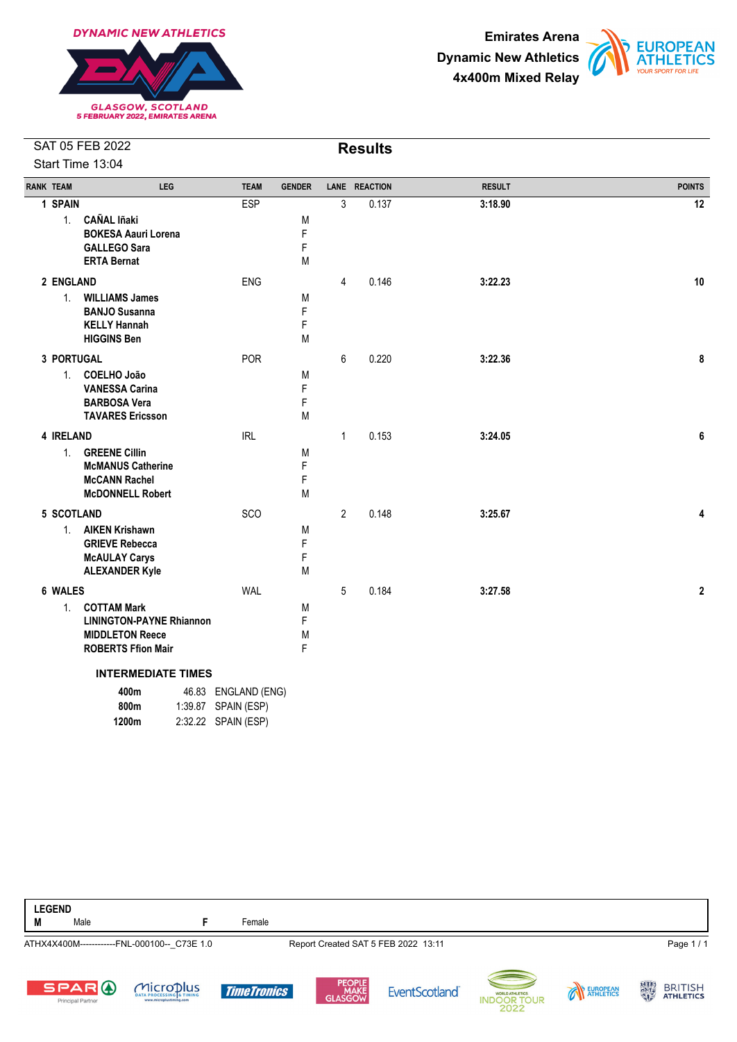





| <b>RANK TEAM</b> | LEG                                                       | <b>TEAM</b>         | <b>GENDER</b> |                | LANE REACTION | <b>RESULT</b> | <b>POINTS</b> |
|------------------|-----------------------------------------------------------|---------------------|---------------|----------------|---------------|---------------|---------------|
| 1 SPAIN          |                                                           | ESP                 |               | 3              | 0.137         | 3:18.90       | 12            |
| 1.               | <b>CAÑAL Iñaki</b><br><b>BOKESA Aauri Lorena</b>          |                     | M<br>F        |                |               |               |               |
|                  | <b>GALLEGO Sara</b>                                       |                     | F             |                |               |               |               |
|                  | <b>ERTA Bernat</b>                                        |                     | M             |                |               |               |               |
| 2 ENGLAND        |                                                           | <b>ENG</b>          |               | $\overline{4}$ | 0.146         | 3:22.23       | 10            |
| 1 <sup>1</sup>   | <b>WILLIAMS James</b>                                     |                     | M             |                |               |               |               |
|                  | <b>BANJO Susanna</b><br><b>KELLY Hannah</b>               |                     | F<br>F        |                |               |               |               |
|                  | <b>HIGGINS Ben</b>                                        |                     | M             |                |               |               |               |
| 3 PORTUGAL       |                                                           | POR                 |               | 6              | 0.220         | 3:22.36       | 8             |
| 1.               | COELHO João                                               |                     | M             |                |               |               |               |
|                  | <b>VANESSA Carina</b><br><b>BARBOSA Vera</b>              |                     | F<br>F        |                |               |               |               |
|                  | <b>TAVARES Ericsson</b>                                   |                     | M             |                |               |               |               |
| 4 IRELAND        |                                                           | <b>IRL</b>          |               | $\mathbf{1}$   | 0.153         | 3:24.05       | 6             |
| $1_{\cdot}$      | <b>GREENE Cillin</b>                                      |                     | M             |                |               |               |               |
|                  | <b>McMANUS Catherine</b><br><b>McCANN Rachel</b>          |                     | F<br>F        |                |               |               |               |
|                  | <b>McDONNELL Robert</b>                                   |                     | M             |                |               |               |               |
| 5 SCOTLAND       |                                                           | SCO                 |               | $\overline{2}$ | 0.148         | 3:25.67       | 4             |
| 1 <sup>1</sup>   | <b>AIKEN Krishawn</b>                                     |                     | M             |                |               |               |               |
|                  | <b>GRIEVE Rebecca</b><br><b>McAULAY Carys</b>             |                     | F<br>F        |                |               |               |               |
|                  | <b>ALEXANDER Kyle</b>                                     |                     | Μ             |                |               |               |               |
| 6 WALES          |                                                           | <b>WAL</b>          |               | 5              | 0.184         | 3:27.58       | $\mathbf 2$   |
| 1.               | <b>COTTAM Mark</b>                                        |                     | M             |                |               |               |               |
|                  | <b>LININGTON-PAYNE Rhiannon</b><br><b>MIDDLETON Reece</b> |                     | F             |                |               |               |               |
|                  | <b>ROBERTS Ffion Mair</b>                                 |                     | M<br>F        |                |               |               |               |
|                  | <b>INTERMEDIATE TIMES</b>                                 |                     |               |                |               |               |               |
|                  | 400m                                                      | 46.83 ENGLAND (ENG) |               |                |               |               |               |
|                  | 800m<br>1:39.87                                           | SPAIN (ESP)         |               |                |               |               |               |
|                  | 1200m                                                     | 2:32.22 SPAIN (ESP) |               |                |               |               |               |

| <b>LEGEND</b><br>M | Male                   |                                             | Female |                                     |                    |
|--------------------|------------------------|---------------------------------------------|--------|-------------------------------------|--------------------|
|                    |                        | ATHX4X400M------------FNL-000100-- C73E 1.0 |        | Report Created SAT 5 FEB 2022 13:11 | Page 1/1           |
|                    | $-\sim$ $\sim$ $-\sim$ | $\Delta$                                    |        | <b>PEOPLE</b>                       | $16123$ $BD1T1C11$ |













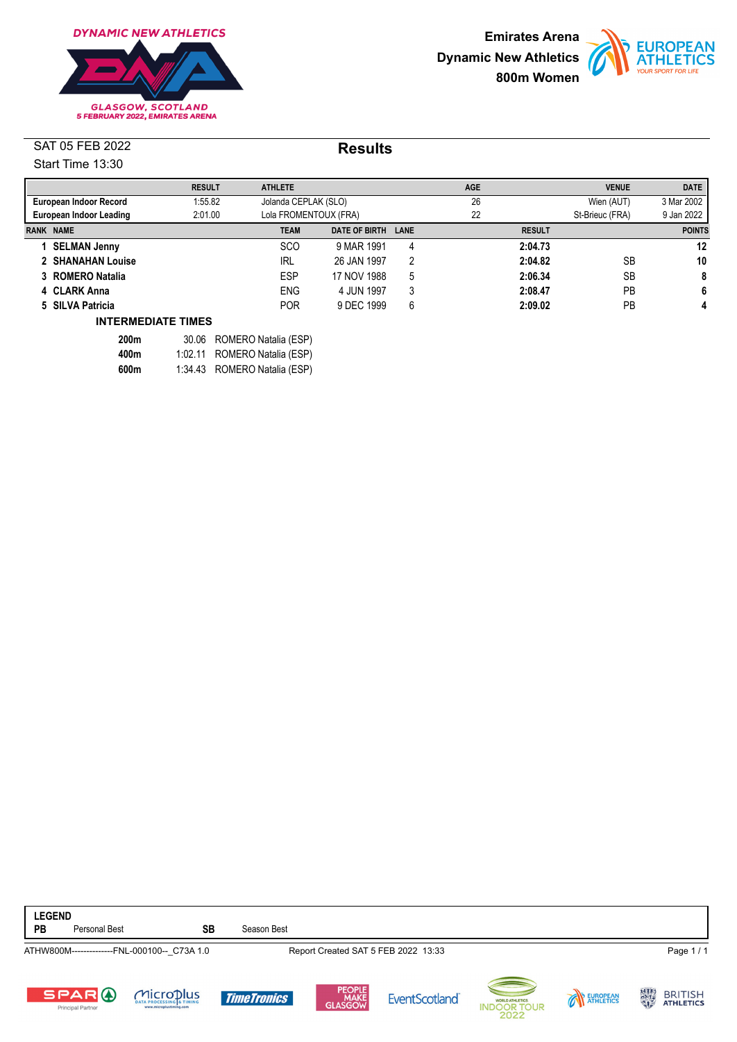





|                                    |                        | <b>RESULT</b> | <b>ATHLETE</b> |                       |      | <b>AGE</b> |               | <b>VENUE</b>    | <b>DATE</b>   |
|------------------------------------|------------------------|---------------|----------------|-----------------------|------|------------|---------------|-----------------|---------------|
|                                    | European Indoor Record | 1:55.82       |                | Jolanda CEPLAK (SLO)  |      |            |               | Wien (AUT)      | 3 Mar 2002    |
| 2:01.00<br>European Indoor Leading |                        |               |                | Lola FROMENTOUX (FRA) |      | 22         |               | St-Brieuc (FRA) | 9 Jan 2022    |
| <b>RANK NAME</b>                   |                        |               | <b>TEAM</b>    | DATE OF BIRTH         | LANE |            | <b>RESULT</b> |                 | <b>POINTS</b> |
|                                    | <b>SELMAN Jenny</b>    |               | <b>SCO</b>     | 9 MAR 1991            | 4    |            | 2:04.73       |                 | 12            |
|                                    | 2 SHANAHAN Louise      |               | <b>IRL</b>     | 26 JAN 1997           | 2    |            | 2:04.82       | <b>SB</b>       | 10            |
|                                    | 3 ROMERO Natalia       |               | ESP            | 17 NOV 1988           | 5    |            | 2:06.34       | <b>SB</b>       | 8             |
|                                    | 4 CLARK Anna           |               | <b>ENG</b>     | 4 JUN 1997            | 3    |            | 2:08.47       | PB              | 6             |
|                                    | 5 SILVA Patricia       |               | <b>POR</b>     | 9 DEC 1999            | 6    |            | 2:09.02       | PB              | 4             |

#### **INTERMEDIATE TIMES**

| <b>200m</b> | 30.06 ROMERO Natalia (ESP)   |
|-------------|------------------------------|
| 400m        | 1:02.11 ROMERO Natalia (ESP) |
| 600m        | 1:34.43 ROMERO Natalia (ESP) |

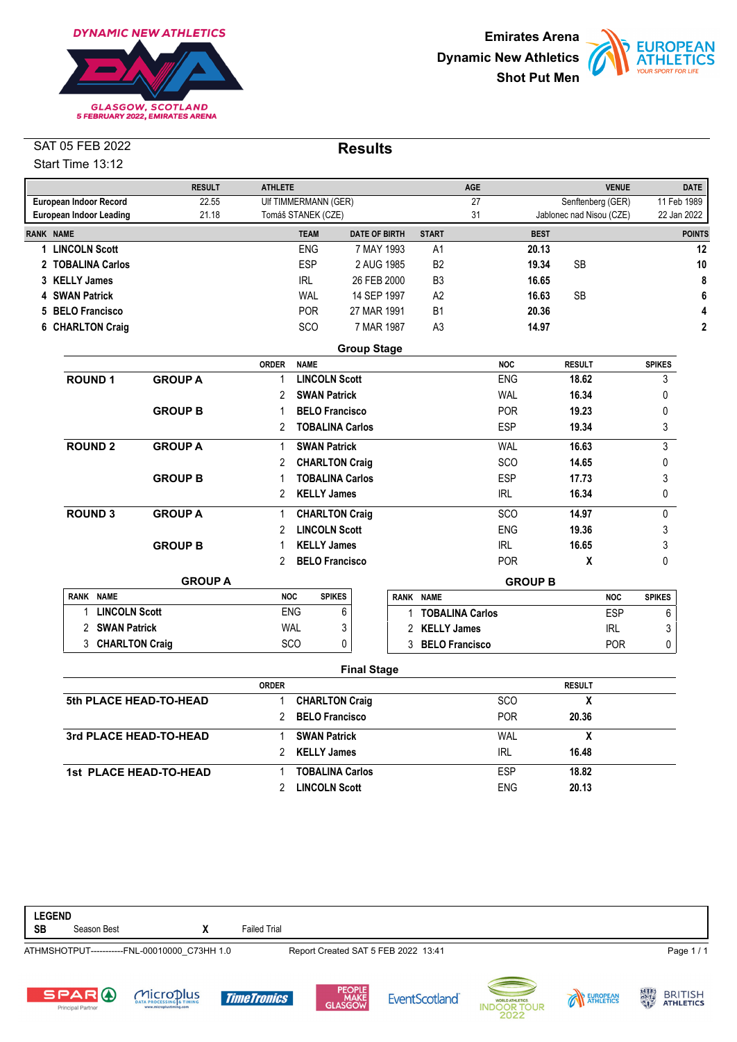





|                  |                                | <b>RESULT</b>  | <b>ATHLETE</b>        |                        |                      |                  | <b>AGE</b>        |                |                          | <b>VENUE</b> |               | <b>DATE</b>    |
|------------------|--------------------------------|----------------|-----------------------|------------------------|----------------------|------------------|-------------------|----------------|--------------------------|--------------|---------------|----------------|
|                  | European Indoor Record         | 22.55          |                       | UIf TIMMERMANN (GER)   |                      |                  | 27                |                | Senftenberg (GER)        |              | 11 Feb 1989   |                |
|                  | <b>European Indoor Leading</b> | 21.18          | Tomáš STANEK (CZE)    |                        |                      |                  | 31                |                | Jablonec nad Nisou (CZE) |              | 22 Jan 2022   |                |
| <b>RANK NAME</b> |                                |                |                       | <b>TEAM</b>            | <b>DATE OF BIRTH</b> | <b>START</b>     |                   | <b>BEST</b>    |                          |              |               | <b>POINTS</b>  |
|                  | 1 LINCOLN Scott                |                |                       | <b>ENG</b>             | 7 MAY 1993           | A1               |                   | 20.13          |                          |              |               | 12             |
|                  | 2 TOBALINA Carlos              |                |                       | ESP                    | 2 AUG 1985           | B <sub>2</sub>   |                   | 19.34          | <b>SB</b>                |              |               | 10             |
|                  | 3 KELLY James                  |                |                       | IRL                    | 26 FEB 2000          | B <sub>3</sub>   |                   | 16.65          |                          |              |               | 8              |
|                  | 4 SWAN Patrick                 |                |                       | WAL                    | 14 SEP 1997          | A2               |                   | 16.63          | <b>SB</b>                |              |               | 6              |
|                  | 5 BELO Francisco               |                |                       | <b>POR</b>             | 27 MAR 1991          | <b>B1</b>        |                   | 20.36          |                          |              |               | 4              |
|                  | 6 CHARLTON Craig               |                |                       | SCO                    | 7 MAR 1987           | A <sub>3</sub>   |                   | 14.97          |                          |              |               | $\overline{2}$ |
|                  |                                |                |                       |                        | <b>Group Stage</b>   |                  |                   |                |                          |              |               |                |
|                  |                                |                | <b>ORDER</b>          | <b>NAME</b>            |                      |                  | <b>NOC</b>        |                | <b>RESULT</b>            |              | <b>SPIKES</b> |                |
|                  | <b>ROUND1</b>                  | <b>GROUP A</b> | $\mathbf{1}$          | <b>LINCOLN Scott</b>   |                      |                  | <b>ENG</b>        |                | 18.62                    |              | 3             |                |
|                  |                                |                | 2                     | <b>SWAN Patrick</b>    |                      |                  | <b>WAL</b>        |                | 16.34                    |              | 0             |                |
|                  |                                | <b>GROUP B</b> | 1                     | <b>BELO Francisco</b>  |                      |                  | <b>POR</b>        |                | 19.23                    |              | 0             |                |
|                  |                                |                | $\overline{2}$        | <b>TOBALINA Carlos</b> |                      |                  | <b>ESP</b>        |                | 19.34                    |              | 3             |                |
|                  | <b>ROUND 2</b>                 | <b>GROUP A</b> | $\mathbf{1}$          | <b>SWAN Patrick</b>    |                      |                  | <b>WAL</b>        |                | 16.63                    |              | 3             |                |
|                  |                                |                | 2                     | <b>CHARLTON Craig</b>  |                      |                  | <b>SCO</b>        |                | 14.65                    |              | 0             |                |
|                  |                                | <b>GROUP B</b> | 1                     | <b>TOBALINA Carlos</b> |                      |                  | <b>ESP</b>        |                | 17.73                    |              | 3             |                |
|                  |                                |                | $\mathbf{2}^{\prime}$ | <b>KELLY James</b>     |                      |                  | <b>IRL</b>        |                | 16.34                    |              | 0             |                |
|                  | <b>ROUND 3</b>                 | <b>GROUP A</b> | 1                     | <b>CHARLTON Craig</b>  |                      |                  | SCO               |                | 14.97                    |              | 0             |                |
|                  |                                |                | $\overline{2}$        | <b>LINCOLN Scott</b>   |                      |                  | <b>ENG</b>        |                | 19.36                    |              | 3             |                |
|                  |                                | <b>GROUP B</b> | 1                     | <b>KELLY James</b>     |                      |                  | <b>IRL</b>        |                | 16.65                    |              | 3             |                |
|                  |                                |                | 2                     | <b>BELO Francisco</b>  |                      |                  | POR.              |                | X                        |              | 0             |                |
|                  |                                | <b>GROUP A</b> |                       |                        |                      |                  |                   | <b>GROUP B</b> |                          |              |               |                |
|                  | RANK NAME                      |                | <b>NOC</b>            | <b>SPIKES</b>          |                      | RANK NAME        |                   |                |                          | <b>NOC</b>   | <b>SPIKES</b> |                |
|                  | <b>LINCOLN Scott</b><br>1      |                | <b>ENG</b>            | 6                      |                      |                  | 1 TOBALINA Carlos |                |                          | <b>ESP</b>   | 6             |                |
|                  | 2 SWAN Patrick                 |                | <b>WAL</b>            | 3                      |                      | 2 KELLY James    |                   |                |                          | <b>IRL</b>   | 3             |                |
|                  | 3 CHARLTON Craig               |                | <b>SCO</b>            | $\pmb{0}$              |                      | 3 BELO Francisco |                   |                |                          | <b>POR</b>   | 0             |                |
|                  |                                |                |                       |                        | <b>Final Stage</b>   |                  |                   |                |                          |              |               |                |
|                  |                                |                | <b>ORDER</b>          |                        |                      |                  |                   |                | <b>RESULT</b>            |              |               |                |
|                  | 5th PLACE HEAD-TO-HEAD         |                | $\mathbf{1}$          | <b>CHARLTON Craig</b>  |                      |                  | SCO               |                | X                        |              |               |                |
|                  |                                |                | 2                     | <b>BELO Francisco</b>  |                      |                  | <b>POR</b>        |                | 20.36                    |              |               |                |
|                  | 3rd PLACE HEAD-TO-HEAD         |                | 1                     | <b>SWAN Patrick</b>    |                      |                  | <b>WAL</b>        |                | X                        |              |               |                |
|                  |                                |                | 2                     | <b>KELLY James</b>     |                      |                  | <b>IRL</b>        |                | 16.48                    |              |               |                |

**LEGEND** Season Best **X** Failed Trial ATHMSHOTPUT-----------FNL-00010000\_C73HH 1.0 Report Created SAT 5 FEB 2022 13:41 Page 1 / 1







**1st PLACE HEAD-TO-HEAD** 1 **TOBALINA Carlos** ESP **18.82**



2 **LINCOLN Scott** ENG **20.13**



EUROPEAN

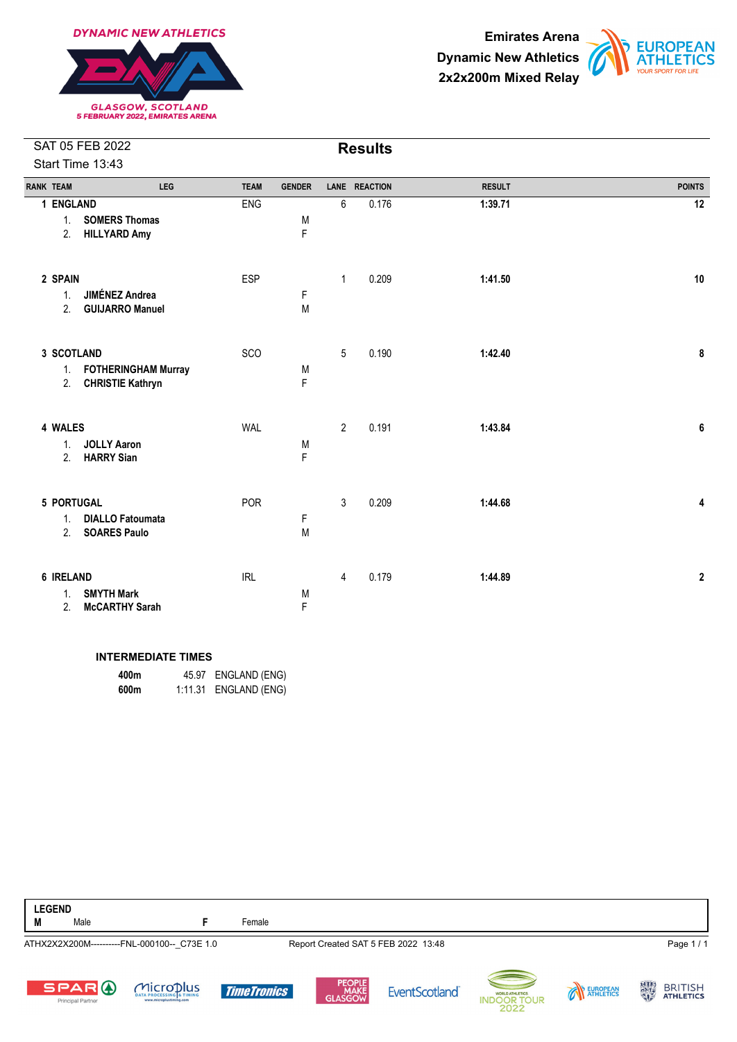





| <b>RANK TEAM</b>                  | LEG                                                   | <b>TEAM</b> | <b>GENDER</b> | <b>LANE</b>    | <b>REACTION</b> | <b>RESULT</b> | <b>POINTS</b>    |
|-----------------------------------|-------------------------------------------------------|-------------|---------------|----------------|-----------------|---------------|------------------|
| 1 ENGLAND<br>1.<br>2.             | <b>SOMERS Thomas</b><br><b>HILLYARD Amy</b>           | <b>ENG</b>  | M<br>F        | 6              | 0.176           | 1:39.71       | 12               |
| 2 SPAIN<br>1.<br>2.               | <b>JIMÉNEZ Andrea</b><br><b>GUIJARRO Manuel</b>       | <b>ESP</b>  | F<br>M        | $\mathbf{1}$   | 0.209           | 1:41.50       | 10               |
| 3 SCOTLAND<br>1.<br>2.            | <b>FOTHERINGHAM Murray</b><br><b>CHRISTIE Kathryn</b> | SCO         | M<br>F        | 5              | 0.190           | 1:42.40       | 8                |
| 4 WALES<br>1.<br>2.               | <b>JOLLY Aaron</b><br><b>HARRY Sian</b>               | <b>WAL</b>  | M<br>F        | $\overline{2}$ | 0.191           | 1:43.84       | 6                |
| 5 PORTUGAL<br>1.<br>2.            | <b>DIALLO Fatoumata</b><br><b>SOARES Paulo</b>        | POR         | F<br>M        | $\mathfrak{Z}$ | 0.209           | 1:44.68       | 4                |
| 6 IRELAND<br>1 <sub>1</sub><br>2. | <b>SMYTH Mark</b><br><b>McCARTHY Sarah</b>            | <b>IRL</b>  | M<br>F        | 4              | 0.179           | 1:44.89       | $\boldsymbol{2}$ |

#### **INTERMEDIATE TIMES**

| 400m |         | 45.97 ENGLAND (ENG) |
|------|---------|---------------------|
| 600m | 1:11.31 | ENGLAND (ENG)       |

| <b>LEGEND</b><br>M | Male                                     |                                             | Female             |                                     |                      |                                                        |          |                                           |
|--------------------|------------------------------------------|---------------------------------------------|--------------------|-------------------------------------|----------------------|--------------------------------------------------------|----------|-------------------------------------------|
|                    |                                          | ATHX2X2X200M----------FNL-000100-- C73E 1.0 |                    | Report Created SAT 5 FEB 2022 13:48 |                      |                                                        |          | Page 1/1                                  |
|                    | <b>SPARO</b><br><b>Principal Partner</b> | MICroplus<br>www.microplustiming.com        | <b>TimeTronics</b> | PEOPLE<br>MAKE<br>GLASGOW           | <b>EventScotland</b> | $-1$<br>WORLD ATHLETICS.<br><b>INDOOR TOUR</b><br>2022 | EUROPEAN | 大きな<br><b>BRITISH</b><br><b>ATHLETICS</b> |

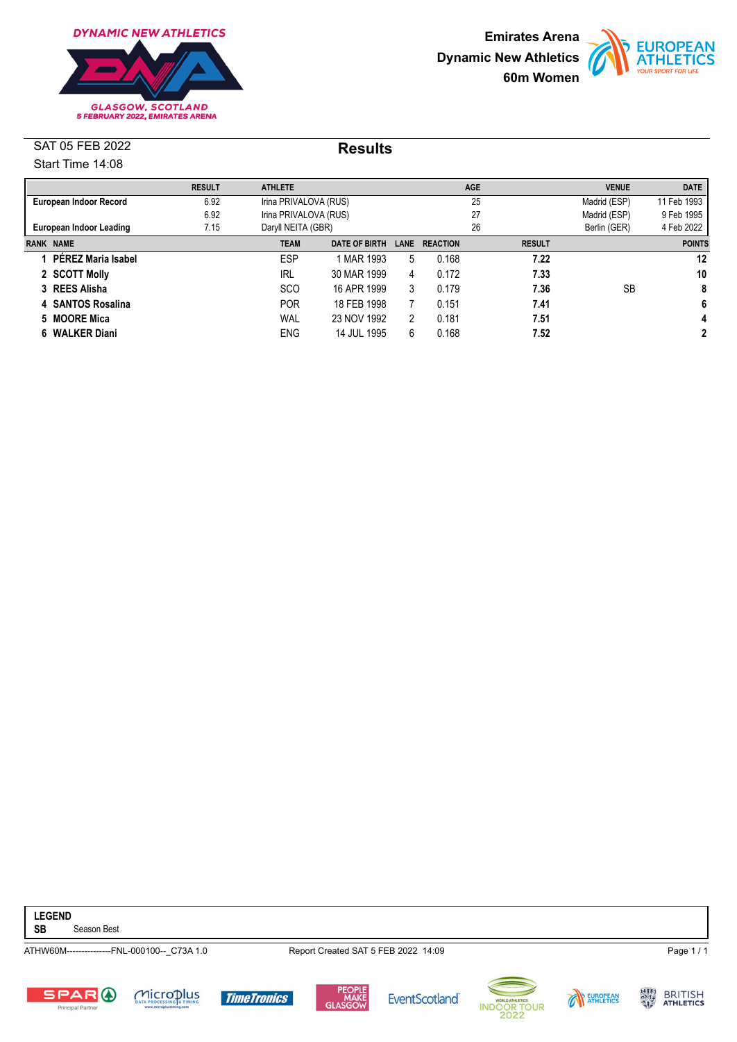





|                                                       | <b>RESULT</b> | <b>ATHLETE</b>        |                       |      |                 | <b>AGE</b>    | <b>VENUE</b> | <b>DATE</b>   |
|-------------------------------------------------------|---------------|-----------------------|-----------------------|------|-----------------|---------------|--------------|---------------|
| European Indoor Record                                | 6.92          | Irina PRIVALOVA (RUS) |                       |      |                 | 25            | Madrid (ESP) | 11 Feb 1993   |
|                                                       | 6.92          |                       | Irina PRIVALOVA (RUS) |      | 27              |               | Madrid (ESP) | 9 Feb 1995    |
| 7.15<br>Daryll NEITA (GBR)<br>European Indoor Leading |               |                       |                       |      | 26              | Berlin (GER)  | 4 Feb 2022   |               |
| <b>RANK NAME</b>                                      |               | <b>TEAM</b>           | <b>DATE OF BIRTH</b>  | LANE | <b>REACTION</b> | <b>RESULT</b> |              | <b>POINTS</b> |
| <b>PEREZ Maria Isabel</b>                             |               | <b>ESP</b>            | 1 MAR 1993            | 5    | 0.168           | 7.22          |              | 12            |
| 2 SCOTT Molly                                         |               | <b>IRL</b>            | 30 MAR 1999           | 4    | 0.172           | 7.33          |              | 10            |
| 3 REES Alisha                                         |               | <b>SCO</b>            | 16 APR 1999           | 3    | 0.179           | 7.36          | <b>SB</b>    | 8             |
| 4 SANTOS Rosalina                                     |               | <b>POR</b>            | 18 FEB 1998           |      | 0.151           | 7.41          |              | 6             |
| 5 MOORE Mica                                          |               | WAL                   | 23 NOV 1992           | 2    | 0.181           | 7.51          |              | 4             |
| 6 WALKER Diani                                        |               | <b>ENG</b>            | 14 JUL 1995           | 6    | 0.168           | 7.52          |              | 2             |

**LEGEND**

**Season Best** 

ATHW60M---------------FNL-000100--\_C73A 1.0 Report Created SAT 5 FEB 2022 14:09 Page 1 / 1













BRITISH<br>ATHLETICS

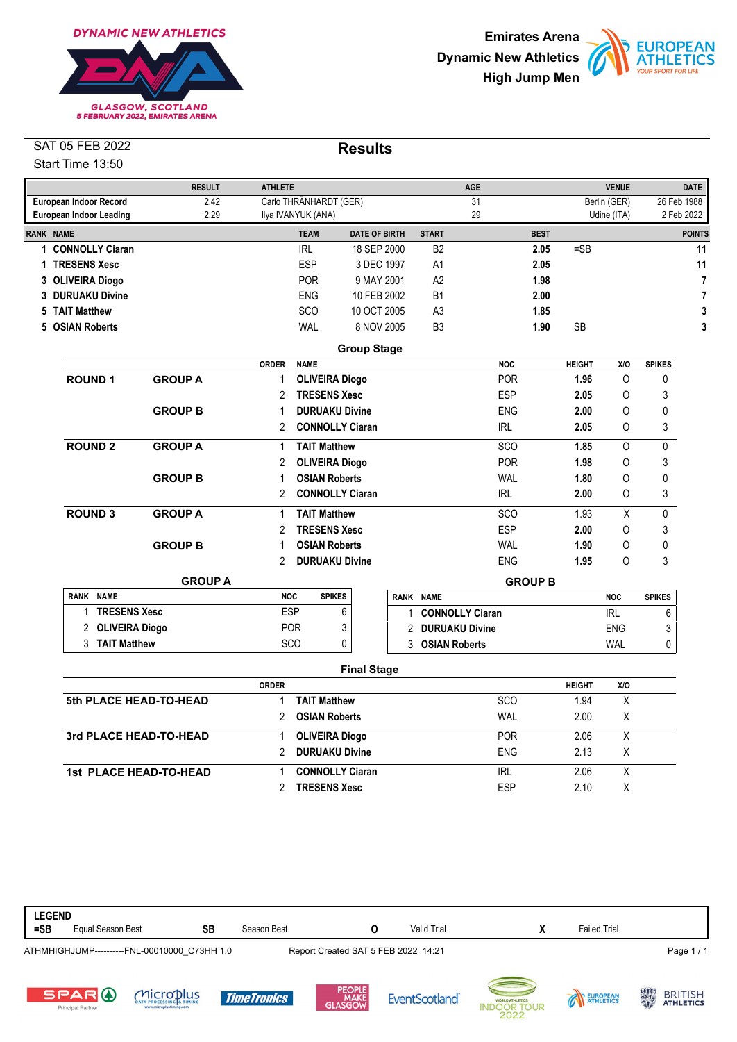





|                  |                                | <b>RESULT</b>  | <b>ATHLETE</b>              |                                     |    |                        | <b>AGE</b>     |             |               | <b>VENUE</b> |               | <b>DATE</b>    |
|------------------|--------------------------------|----------------|-----------------------------|-------------------------------------|----|------------------------|----------------|-------------|---------------|--------------|---------------|----------------|
|                  | <b>European Indoor Record</b>  | 2.42           |                             | Carlo THRÄNHARDT (GER)              |    |                        | 31             |             |               | Berlin (GER) |               | 26 Feb 1988    |
|                  | <b>European Indoor Leading</b> | 2.29           | Ilya IVANYUK (ANA)          |                                     |    |                        | 29             |             |               | Udine (ITA)  |               | 2 Feb 2022     |
| <b>RANK NAME</b> |                                |                |                             | <b>TEAM</b><br><b>DATE OF BIRTH</b> |    | <b>START</b>           |                | <b>BEST</b> |               |              |               | <b>POINTS</b>  |
|                  | 1 CONNOLLY Ciaran              |                | <b>IRL</b>                  | 18 SEP 2000                         |    | B <sub>2</sub>         |                | 2.05        | $=$ SB        |              |               | 11             |
|                  | 1 TRESENS Xesc                 |                | ESP                         | 3 DEC 1997                          |    | A1                     |                | 2.05        |               |              |               | 11             |
|                  | 3 OLIVEIRA Diogo               |                | <b>POR</b>                  | 9 MAY 2001                          |    | A <sub>2</sub>         |                | 1.98        |               |              |               | $\overline{7}$ |
|                  | 3 DURUAKU Divine               |                | ENG                         | 10 FEB 2002                         |    | <b>B1</b>              |                | 2.00        |               |              |               | $\overline{7}$ |
|                  | 5 TAIT Matthew                 |                | SCO                         | 10 OCT 2005                         |    | A <sub>3</sub>         |                | 1.85        |               |              |               | 3              |
|                  | 5 OSIAN Roberts                |                | <b>WAL</b>                  | 8 NOV 2005                          |    | B <sub>3</sub>         |                | 1.90        | <b>SB</b>     |              |               | 3              |
|                  |                                |                |                             | <b>Group Stage</b>                  |    |                        |                |             |               |              |               |                |
|                  |                                |                | <b>ORDER</b><br><b>NAME</b> |                                     |    |                        | <b>NOC</b>     |             | <b>HEIGHT</b> | X/O          | <b>SPIKES</b> |                |
|                  | <b>ROUND1</b>                  | <b>GROUP A</b> | $\mathbf{1}$                | <b>OLIVEIRA Diogo</b>               |    |                        | <b>POR</b>     |             | 1.96          | $\circ$      | 0             |                |
|                  |                                |                | 2                           | <b>TRESENS Xesc</b>                 |    |                        | <b>ESP</b>     |             | 2.05          | 0            | 3             |                |
|                  |                                | <b>GROUP B</b> | 1                           | <b>DURUAKU Divine</b>               |    |                        | <b>ENG</b>     |             | 2.00          | 0            | 0             |                |
|                  |                                |                | $\overline{2}$              | <b>CONNOLLY Ciaran</b>              |    |                        | <b>IRL</b>     |             | 2.05          | 0            | 3             |                |
|                  | <b>ROUND 2</b>                 | <b>GROUP A</b> | 1                           | <b>TAIT Matthew</b>                 |    |                        | <b>SCO</b>     |             | 1.85          | $\Omega$     | 0             |                |
|                  |                                |                | 2                           | <b>OLIVEIRA Diogo</b>               |    |                        | <b>POR</b>     |             | 1.98          | 0            | 3             |                |
|                  |                                | <b>GROUP B</b> | 1                           | <b>OSIAN Roberts</b>                |    |                        | <b>WAL</b>     |             | 1.80          | 0            | 0             |                |
|                  |                                |                | 2                           | <b>CONNOLLY Ciaran</b>              |    |                        | <b>IRL</b>     |             | 2.00          | 0            | 3             |                |
|                  | <b>ROUND 3</b>                 | <b>GROUP A</b> | 1                           | <b>TAIT Matthew</b>                 |    |                        | <b>SCO</b>     |             | 1.93          | $\sf X$      | 0             |                |
|                  |                                |                | $\overline{2}$              | <b>TRESENS Xesc</b>                 |    |                        | <b>ESP</b>     |             | 2.00          | 0            | 3             |                |
|                  |                                | <b>GROUP B</b> | 1                           | <b>OSIAN Roberts</b>                |    |                        | <b>WAL</b>     |             | 1.90          | 0            | 0             |                |
|                  |                                |                | $\overline{2}$              | <b>DURUAKU Divine</b>               |    |                        | <b>ENG</b>     |             | 1.95          | O            | 3             |                |
|                  |                                | <b>GROUP A</b> |                             |                                     |    |                        | <b>GROUP B</b> |             |               |              |               |                |
|                  | RANK NAME                      |                | <b>NOC</b>                  | <b>SPIKES</b>                       |    | RANK NAME              |                |             |               | <b>NOC</b>   | <b>SPIKES</b> |                |
|                  | <b>TRESENS Xesc</b><br>1       |                | <b>ESP</b>                  | 6                                   | 1. | <b>CONNOLLY Ciaran</b> |                |             |               | <b>IRL</b>   | 6             |                |
|                  | <b>OLIVEIRA Diogo</b><br>2     |                | <b>POR</b>                  | 3                                   |    | 2 DURUAKU Divine       |                |             |               | <b>ENG</b>   | 3             |                |
|                  | 3 TAIT Matthew                 |                | SCO                         | 0                                   |    | 3 OSIAN Roberts        |                |             |               | WAL          | 0             |                |
|                  |                                |                |                             | <b>Final Stage</b>                  |    |                        |                |             |               |              |               |                |
|                  |                                |                | <b>ORDER</b>                |                                     |    |                        |                |             | <b>HEIGHT</b> | X/O          |               |                |
|                  | 5th PLACE HEAD-TO-HEAD         |                | 1                           | <b>TAIT Matthew</b>                 |    |                        | <b>SCO</b>     |             | 1.94          | X            |               |                |
|                  |                                |                | 2                           | <b>OSIAN Roberts</b>                |    |                        | <b>WAL</b>     |             | 2.00          | Χ            |               |                |
|                  | 3rd PLACE HEAD-TO-HEAD         |                | 1                           | <b>OLIVEIRA Diogo</b>               |    |                        | <b>POR</b>     |             | 2.06          | X            |               |                |

**1st PLACE HEAD-TO-HEAD** 1 **CONNOLLY Ciaran** 1 **IRL** 2.06 X 2 **TRESENS Xesc** ESP 2.10 X



2 **DURUAKU Divine** ENG 2.13 X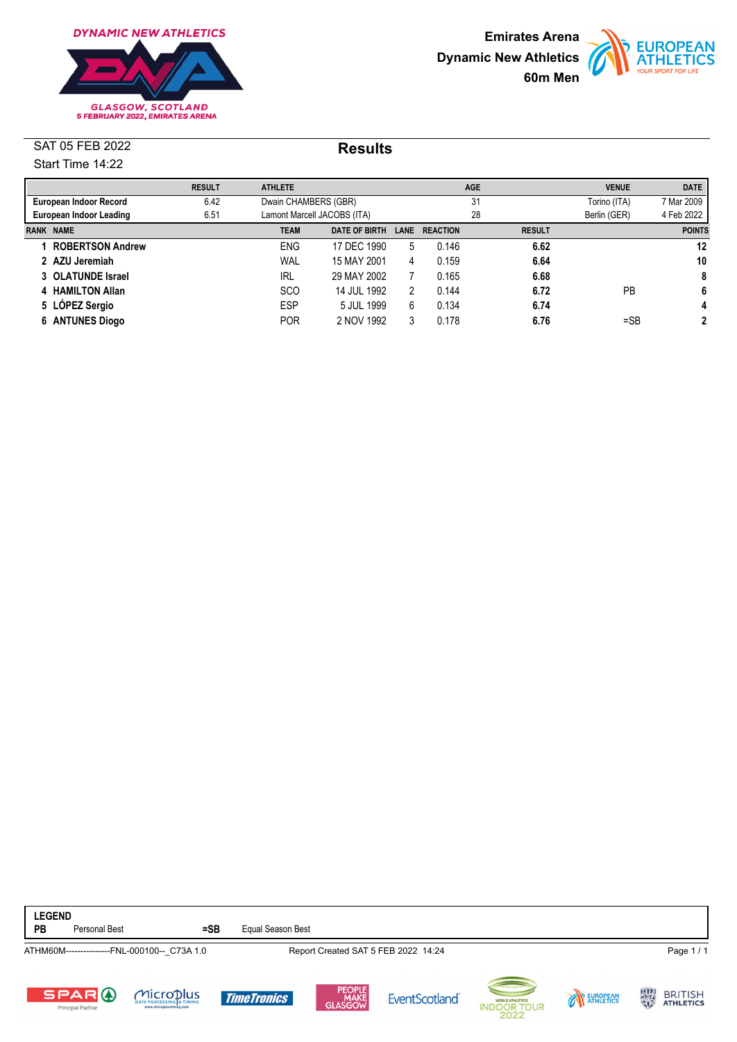





|                                 | <b>RESULT</b> | <b>ATHLETE</b>              |                      |      |                 | <b>AGE</b>    | <b>VENUE</b> | <b>DATE</b>   |
|---------------------------------|---------------|-----------------------------|----------------------|------|-----------------|---------------|--------------|---------------|
| European Indoor Record          | 6.42          |                             | Dwain CHAMBERS (GBR) |      |                 | 31            | Torino (ITA) | 7 Mar 2009    |
| European Indoor Leading<br>6.51 |               | Lamont Marcell JACOBS (ITA) |                      |      | 28              |               | Berlin (GER) | 4 Feb 2022    |
| <b>RANK NAME</b>                |               | <b>TEAM</b>                 | <b>DATE OF BIRTH</b> | LANE | <b>REACTION</b> | <b>RESULT</b> |              | <b>POINTS</b> |
| <b>ROBERTSON Andrew</b>         |               | <b>ENG</b>                  | 17 DEC 1990          | 5    | 0.146           | 6.62          |              | 12            |
| 2 AZU Jeremiah                  |               | WAL                         | 15 MAY 2001          | 4    | 0.159           | 6.64          |              | 10            |
| 3 OLATUNDE Israel               |               | <b>IRL</b>                  | 29 MAY 2002          |      | 0.165           | 6.68          |              | 8             |
| 4 HAMILTON Allan                |               | <b>SCO</b>                  | 14 JUL 1992          | 2    | 0.144           | 6.72          | PB           | 6             |
| 5 LÓPEZ Sergio                  |               | <b>ESP</b>                  | 5 JUL 1999           | 6    | 0.134           | 6.74          |              | 4             |
| 6 ANTUNES Diogo                 |               | <b>POR</b>                  | 2 NOV 1992           | 3    | 0.178           | 6.76          | $=$ SB       | 2             |

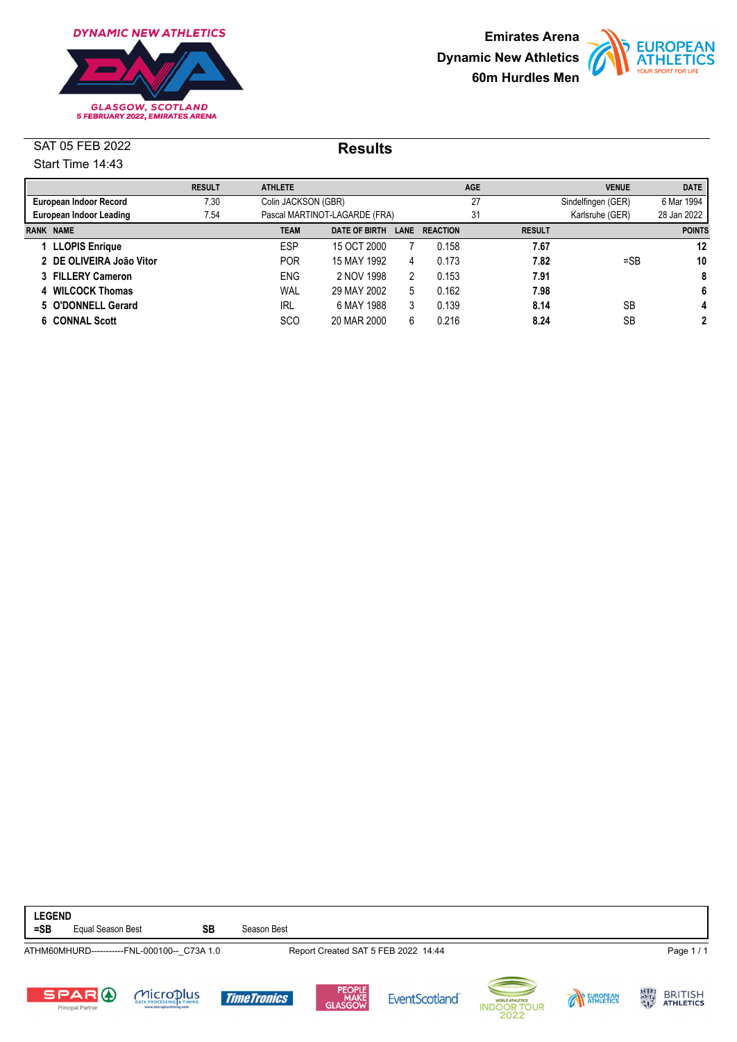





|                                                       | <b>RESULT</b> | <b>ATHLETE</b> |                               |    |                      | <b>AGE</b>         |               | <b>VENUE</b>    | <b>DATE</b>   |
|-------------------------------------------------------|---------------|----------------|-------------------------------|----|----------------------|--------------------|---------------|-----------------|---------------|
| 7.30<br>Colin JACKSON (GBR)<br>European Indoor Record |               |                |                               | 27 |                      | Sindelfingen (GER) | 6 Mar 1994    |                 |               |
| 7.54<br>European Indoor Leading                       |               |                | Pascal MARTINOT-LAGARDE (FRA) |    |                      | 31                 |               | Karlsruhe (GER) | 28 Jan 2022   |
| <b>RANK NAME</b>                                      |               | <b>TEAM</b>    | <b>DATE OF BIRTH</b>          |    | <b>LANE REACTION</b> |                    | <b>RESULT</b> |                 | <b>POINTS</b> |
| 1 LLOPIS Enrique                                      |               | ESP            | 15 OCT 2000                   |    | 0.158                |                    | 7.67          |                 | 12            |
| 2 DE OLIVEIRA João Vitor                              |               | <b>POR</b>     | 15 MAY 1992                   | 4  | 0.173                |                    | 7.82          | $=$ SB          | 10            |
| 3 FILLERY Cameron                                     |               | <b>ENG</b>     | 2 NOV 1998                    | 2  | 0.153                |                    | 7.91          |                 | 8             |
| <b>WILCOCK Thomas</b><br>4                            |               | WAL            | 29 MAY 2002                   | 5  | 0.162                |                    | 7.98          |                 | 6             |
| 5 O'DONNELL Gerard                                    |               | <b>IRL</b>     | 6 MAY 1988                    | 3  | 0.139                |                    | 8.14          | SB              | 4             |
| 6 CONNAL Scott                                        |               | <b>SCO</b>     | 20 MAR 2000                   | 6  | 0.216                |                    | 8.24          | SB              | 2             |

**LEGEND =SB** Equal Season Best **SB** Season Best ATHM60MHURD-----------FNL-000100--\_C73A 1.0 Report Created SAT 5 FEB 2022 14:44 Page 1 / 1 BRITISH<br>ATHLETICS Microplus SPARO EUROPEAN **TimeTronics EventScotland** UR Principal Partne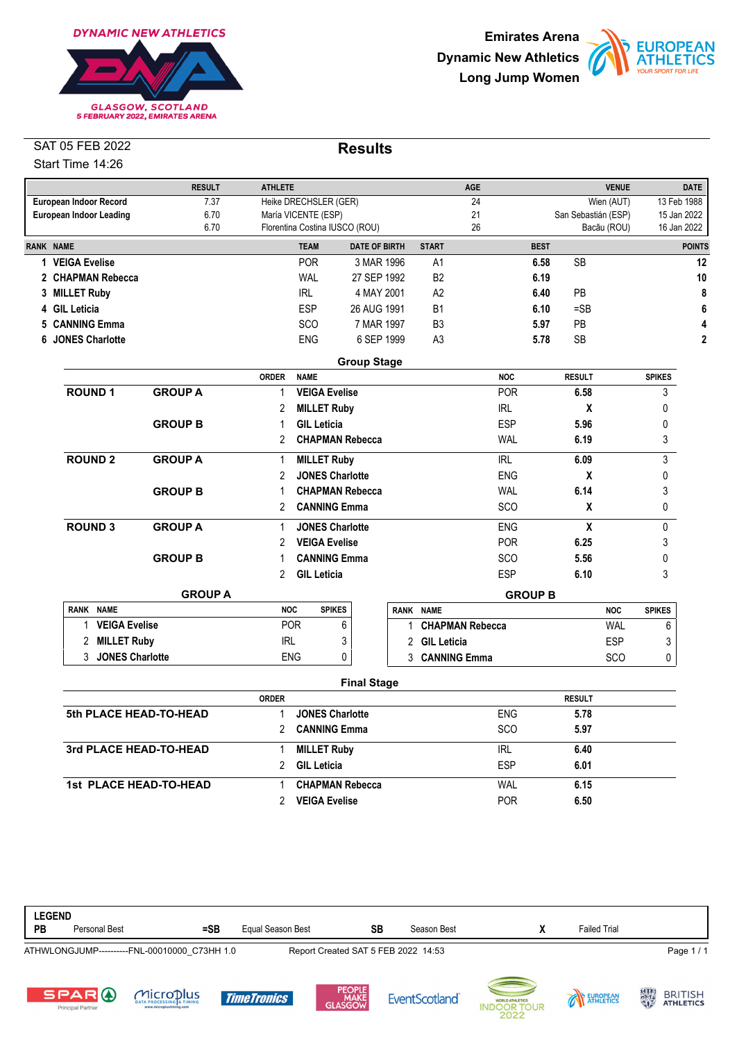





|                                        | <b>RESULT</b>  | <b>ATHLETE</b> |                                |                      |                | <b>AGE</b>             |                | <b>VENUE</b>              |               | <b>DATE</b>   |
|----------------------------------------|----------------|----------------|--------------------------------|----------------------|----------------|------------------------|----------------|---------------------------|---------------|---------------|
| European Indoor Record                 | 7.37           |                | Heike DRECHSLER (GER)          |                      |                | 24                     |                | Wien (AUT)                | 13 Feb 1988   |               |
| 6.70<br><b>European Indoor Leading</b> |                |                | María VICENTE (ESP)            |                      |                | 21                     |                | San Sebastián (ESP)       | 15 Jan 2022   |               |
|                                        | 6.70           |                | Florentina Costina IUSCO (ROU) |                      |                | 26                     |                | Bacãu (ROU)               | 16 Jan 2022   |               |
| <b>RANK NAME</b>                       |                |                | <b>TEAM</b>                    | <b>DATE OF BIRTH</b> | <b>START</b>   |                        | <b>BEST</b>    |                           |               | <b>POINTS</b> |
| 1 VEIGA Evelise                        |                |                | <b>POR</b>                     | 3 MAR 1996           | A1             |                        | 6.58           | <b>SB</b>                 |               |               |
| 2 CHAPMAN Rebecca                      |                |                | <b>WAL</b>                     | 27 SEP 1992          | <b>B2</b>      |                        | 6.19           |                           |               |               |
| 3 MILLET Ruby                          |                |                | <b>IRL</b>                     | 4 MAY 2001           | A2             |                        | 6.40           | PB                        |               |               |
| 4 GIL Leticia                          |                |                | <b>ESP</b>                     | 26 AUG 1991          | <b>B1</b>      |                        | 6.10           | $=$ SB                    |               |               |
| <b>CANNING Emma</b><br>5.              |                |                | <b>SCO</b>                     | 7 MAR 1997           | B <sub>3</sub> |                        | 5.97           | PB                        |               |               |
| <b>JONES Charlotte</b><br>6            |                |                | <b>ENG</b>                     | 6 SEP 1999           | A <sub>3</sub> |                        | 5.78           | SB                        |               |               |
|                                        |                |                |                                | <b>Group Stage</b>   |                |                        |                |                           |               |               |
|                                        |                | <b>ORDER</b>   | <b>NAME</b>                    |                      |                | <b>NOC</b>             |                | <b>RESULT</b>             | <b>SPIKES</b> |               |
| <b>ROUND1</b>                          | <b>GROUP A</b> | 1              | <b>VEIGA Evelise</b>           |                      |                | <b>POR</b>             |                | 6.58                      | 3             |               |
|                                        |                | 2              | <b>MILLET Ruby</b>             |                      |                | <b>IRL</b>             |                | X                         | 0             |               |
|                                        | <b>GROUP B</b> |                | <b>GIL Leticia</b>             |                      |                | <b>ESP</b>             |                | 5.96                      | 0             |               |
|                                        |                | $\overline{2}$ | <b>CHAPMAN Rebecca</b>         |                      |                | <b>WAL</b>             |                | 6.19                      | 3             |               |
| <b>ROUND 2</b>                         | <b>GROUP A</b> | 1              | <b>MILLET Ruby</b>             |                      |                | <b>IRL</b>             |                | 6.09                      | 3             |               |
|                                        |                | 2              | <b>JONES Charlotte</b>         |                      |                | <b>ENG</b>             |                | X                         | 0             |               |
|                                        | <b>GROUP B</b> |                | <b>CHAPMAN Rebecca</b>         |                      |                | <b>WAL</b>             |                | 6.14                      | 3             |               |
|                                        |                | $\overline{2}$ | <b>CANNING Emma</b>            |                      |                | SCO                    |                | $\boldsymbol{\mathsf{x}}$ | 0             |               |
| <b>ROUND 3</b>                         | <b>GROUP A</b> | 1              | <b>JONES Charlotte</b>         |                      |                | <b>ENG</b>             |                | $\boldsymbol{\mathsf{X}}$ | 0             |               |
|                                        |                | 2              | <b>VEIGA Evelise</b>           |                      |                | <b>POR</b>             |                | 6.25                      | 3             |               |
|                                        | <b>GROUP B</b> |                | <b>CANNING Emma</b>            |                      |                | <b>SCO</b>             |                | 5.56                      | 0             |               |
|                                        |                | $\overline{2}$ | <b>GIL Leticia</b>             |                      |                | <b>ESP</b>             |                | 6.10                      | 3             |               |
|                                        | <b>GROUP A</b> |                |                                |                      |                |                        | <b>GROUP B</b> |                           |               |               |
| <b>RANK NAME</b>                       |                | <b>NOC</b>     | <b>SPIKES</b>                  |                      | RANK NAME      |                        |                | <b>NOC</b>                | <b>SPIKES</b> |               |
| <b>VEIGA Evelise</b><br>1              |                |                | <b>POR</b><br>6                |                      |                | <b>CHAPMAN Rebecca</b> |                | <b>WAL</b>                | 6             |               |
| <b>MILLET Ruby</b><br>2                |                | <b>IRL</b>     | 3                              |                      | 2 GIL Leticia  |                        |                | <b>ESP</b>                | 3             |               |
| 3 JONES Charlotte                      |                |                | <b>ENG</b><br>0                |                      | 3 CANNING Emma |                        |                | <b>SCO</b>                | 0             |               |

|                        | <b>ORDER</b> |                        |            | <b>RESULT</b> |  |
|------------------------|--------------|------------------------|------------|---------------|--|
| 5th PLACE HEAD-TO-HEAD |              | <b>JONES Charlotte</b> | <b>ENG</b> | 5.78          |  |
|                        |              | <b>CANNING Emma</b>    | <b>SCO</b> | 5.97          |  |
| 3rd PLACE HEAD-TO-HEAD |              | <b>MILLET Ruby</b>     | <b>IRL</b> | 6.40          |  |
|                        |              | <b>GIL Leticia</b>     | ESP        | 6.01          |  |
| 1st PLACE HEAD-TO-HEAD |              | <b>CHAPMAN Rebecca</b> | WAL        | 6.15          |  |
|                        |              | <b>VEIGA Evelise</b>   | <b>POR</b> | 6.50          |  |

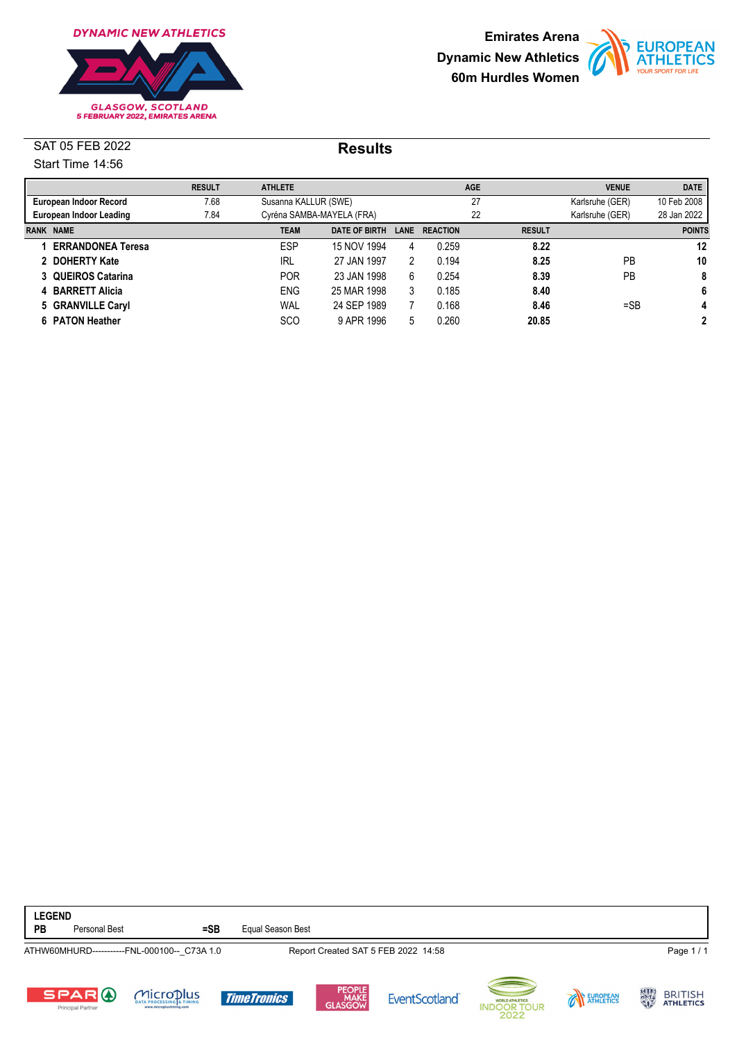





|                          | <b>RESULT</b> | <b>ATHLETE</b> |                           |      |                 | <b>AGE</b> |               | <b>VENUE</b>    | <b>DATE</b>   |
|--------------------------|---------------|----------------|---------------------------|------|-----------------|------------|---------------|-----------------|---------------|
| European Indoor Record   | 7.68          |                | Susanna KALLUR (SWE)      |      |                 | 27         |               | Karlsruhe (GER) | 10 Feb 2008   |
| European Indoor Leading  | 7.84          |                | Cyréna SAMBA-MAYELA (FRA) |      |                 | 22         |               | Karlsruhe (GER) | 28 Jan 2022   |
| <b>RANK NAME</b>         |               | <b>TEAM</b>    | <b>DATE OF BIRTH</b>      | LANE | <b>REACTION</b> |            | <b>RESULT</b> |                 | <b>POINTS</b> |
| <b>ERRANDONEA Teresa</b> |               | <b>ESP</b>     | 15 NOV 1994               | 4    | 0.259           |            | 8.22          |                 | 12            |
| 2 DOHERTY Kate           |               | <b>IRL</b>     | 27 JAN 1997               | 2    | 0.194           |            | 8.25          | PB              | 10            |
| 3 QUEIROS Catarina       |               | <b>POR</b>     | 23 JAN 1998               | 6    | 0.254           |            | 8.39          | PB              | 8             |
| 4 BARRETT Alicia         |               | <b>ENG</b>     | 25 MAR 1998               | 3    | 0.185           |            | 8.40          |                 | 6             |
| 5 GRANVILLE Caryl        |               | WAL            | 24 SEP 1989               |      | 0.168           |            | 8.46          | $=$ SB          | 4             |
| 6 PATON Heather          |               | <b>SCO</b>     | 9 APR 1996                | 5    | 0.260           |            | 20.85         |                 | 2             |

| <b>LEGEND</b><br>PB | Personal Best                            | $=$ SB                                                                      | Equal Season Best  |                           |                                     |                                                      |          |                                           |
|---------------------|------------------------------------------|-----------------------------------------------------------------------------|--------------------|---------------------------|-------------------------------------|------------------------------------------------------|----------|-------------------------------------------|
|                     |                                          | ATHW60MHURD-----------FNL-000100-- C73A 1.0                                 |                    |                           | Report Created SAT 5 FEB 2022 14:58 |                                                      |          | Page 1/1                                  |
|                     | <b>SPARO</b><br><b>Principal Partner</b> | MicroDlus<br><b>DATA PROCESSING &amp; TIMING</b><br>www.microplustiming.com | <b>TimeTronics</b> | PEOPLE<br>MAKE<br>GLASGOW | <b>EventScotland</b>                | --<br>WORLD ATHLETICS.<br><b>INDOOR TOUR</b><br>2022 | EUROPEAN | 大小地<br><b>BRITISH</b><br><b>ATHLETICS</b> |